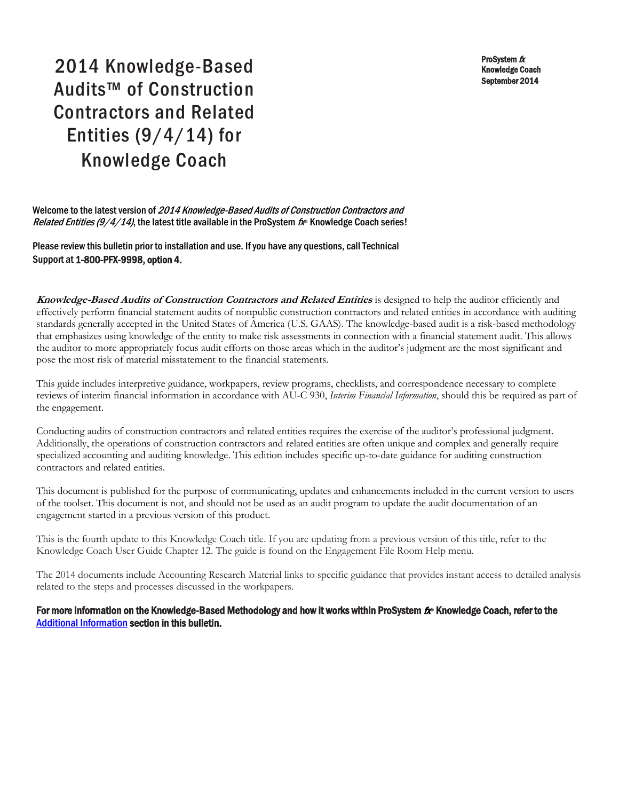ProSystem fx Knowledge Coach September 2014

# 2014 Knowledge-Based Audits™ of Construction Contractors and Related Entities  $(9/4/14)$  for Knowledge Coach

Welcome to the latest version of 2014 Knowledge-Based Audits of Construction Contractors and Related Entities (9/4/14), the latest title available in the ProSystem  $\hbar$ <sup>®</sup> Knowledge Coach series!

Please review this bulletin prior to installation and use. If you have any questions, call Technical Support at 1-800-PFX-9998, option 4.

**Knowledge-Based Audits of Construction Contractors and Related Entities** is designed to help the auditor efficiently and effectively perform financial statement audits of nonpublic construction contractors and related entities in accordance with auditing standards generally accepted in the United States of America (U.S. GAAS). The knowledge-based audit is a risk-based methodology that emphasizes using knowledge of the entity to make risk assessments in connection with a financial statement audit. This allows the auditor to more appropriately focus audit efforts on those areas which in the auditor's judgment are the most significant and pose the most risk of material misstatement to the financial statements.

This guide includes interpretive guidance, workpapers, review programs, checklists, and correspondence necessary to complete reviews of interim financial information in accordance with AU-C 930, *Interim Financial Information*, should this be required as part of the engagement.

Conducting audits of construction contractors and related entities requires the exercise of the auditor's professional judgment. Additionally, the operations of construction contractors and related entities are often unique and complex and generally require specialized accounting and auditing knowledge. This edition includes specific up-to-date guidance for auditing construction contractors and related entities.

This document is published for the purpose of communicating, updates and enhancements included in the current version to users of the toolset. This document is not, and should not be used as an audit program to update the audit documentation of an engagement started in a previous version of this product.

This is the fourth update to this Knowledge Coach title. If you are updating from a previous version of this title, refer to the Knowledge Coach User Guide Chapter 12. The guide is found on the Engagement File Room Help menu.

The 2014 documents include Accounting Research Material links to specific guidance that provides instant access to detailed analysis related to the steps and processes discussed in the workpapers.

### For more information on the Knowledge-Based Methodology and how it works within ProSystem  $f_\text{R}$  Knowledge Coach, refer to the [Additional Information s](#page-3-0)ection in this bulletin.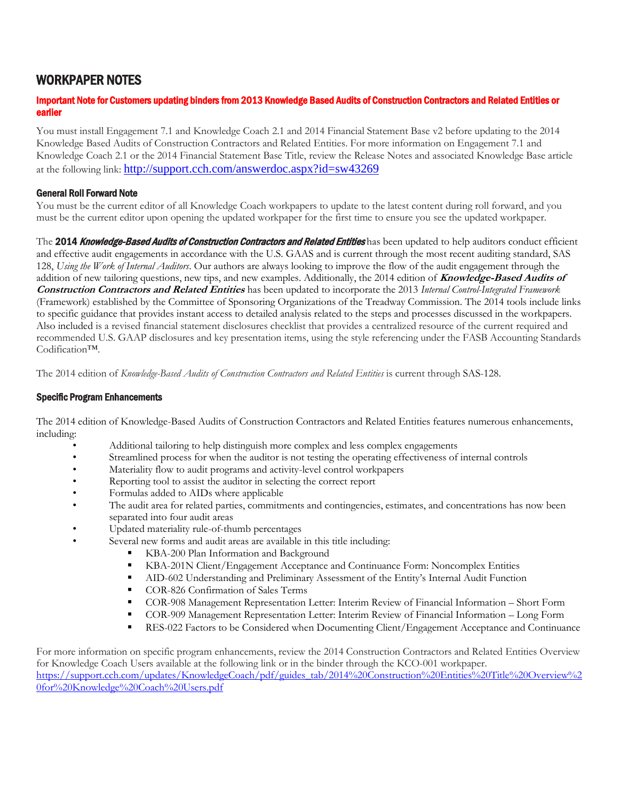# WORKPAPER NOTES

#### Important Note for Customers updating binders from 2013 Knowledge Based Audits of Construction Contractors and Related Entities or earlier

You must install Engagement 7.1 and Knowledge Coach 2.1 and 2014 Financial Statement Base v2 before updating to the 2014 Knowledge Based Audits of Construction Contractors and Related Entities. For more information on Engagement 7.1 and Knowledge Coach 2.1 or the 2014 Financial Statement Base Title, review the Release Notes and associated Knowledge Base article at the following link: <http://support.cch.com/answerdoc.aspx?id=sw43269>

### General Roll Forward Note

You must be the current editor of all Knowledge Coach workpapers to update to the latest content during roll forward, and you must be the current editor upon opening the updated workpaper for the first time to ensure you see the updated workpaper.

The 2014 Knowledge-Based Audits of Construction Contractors and Related Entities has been updated to help auditors conduct efficient and effective audit engagements in accordance with the U.S. GAAS and is current through the most recent auditing standard, SAS 128, *Using the Work of Internal Auditors*. Our authors are always looking to improve the flow of the audit engagement through the addition of new tailoring questions, new tips, and new examples. Additionally, the 2014 edition of **Knowledge-Based Audits of Construction Contractors and Related Entities** has been updated to incorporate the 2013 *Internal Control-Integrated Framework* (Framework) established by the Committee of Sponsoring Organizations of the Treadway Commission. The 2014 tools include links to specific guidance that provides instant access to detailed analysis related to the steps and processes discussed in the workpapers. Also included is a revised financial statement disclosures checklist that provides a centralized resource of the current required and recommended U.S. GAAP disclosures and key presentation items, using the style referencing under the FASB Accounting Standards Codification™.

The 2014 edition of *Knowledge-Based Audits of Construction Contractors and Related Entities* is current through SAS-128.

#### Specific Program Enhancements

The 2014 edition of Knowledge-Based Audits of Construction Contractors and Related Entities features numerous enhancements, including:

- Additional tailoring to help distinguish more complex and less complex engagements
- Streamlined process for when the auditor is not testing the operating effectiveness of internal controls
- Materiality flow to audit programs and activity-level control workpapers
- Reporting tool to assist the auditor in selecting the correct report
- Formulas added to AIDs where applicable
- The audit area for related parties, commitments and contingencies, estimates, and concentrations has now been separated into four audit areas
- Updated materiality rule-of-thumb percentages
- Several new forms and audit areas are available in this title including:
	- KBA-200 Plan Information and Background
	- KBA-201N Client/Engagement Acceptance and Continuance Form: Noncomplex Entities
	- AID-602 Understanding and Preliminary Assessment of the Entity's Internal Audit Function
	- COR-826 Confirmation of Sales Terms
	- COR-908 Management Representation Letter: Interim Review of Financial Information Short Form
	- COR-909 Management Representation Letter: Interim Review of Financial Information Long Form
	- **RES-022 Factors to be Considered when Documenting Client/Engagement Acceptance and Continuance**

For more information on specific program enhancements, review the 2014 Construction Contractors and Related Entities Overview for Knowledge Coach Users available at the following link or in the binder through the KCO-001 workpaper. [https://support.cch.com/updates/KnowledgeCoach/pdf/guides\\_tab/2014%20Construction%20Entities%20Title%20Overview%2](https://support.cch.com/updates/KnowledgeCoach/pdf/guides_tab/2014%20Construction%20Entities%20Title%20Overview%20for%20Knowledge%20Coach%20Users.pdf) [0for%20Knowledge%20Coach%20Users.pdf](https://support.cch.com/updates/KnowledgeCoach/pdf/guides_tab/2014%20Construction%20Entities%20Title%20Overview%20for%20Knowledge%20Coach%20Users.pdf)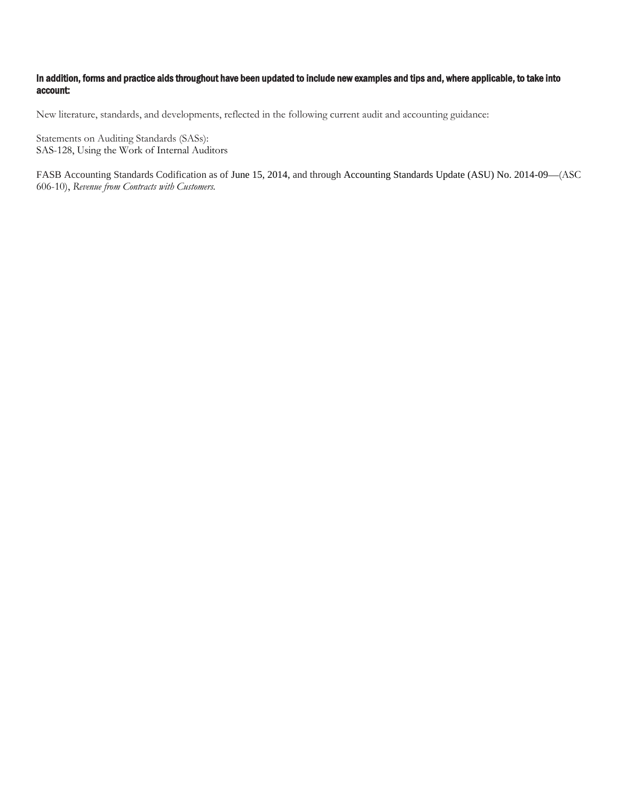#### In addition, forms and practice aids throughout have been updated to include new examples and tips and, where applicable, to take into account:

New literature, standards, and developments, reflected in the following current audit and accounting guidance:

Statements on Auditing Standards (SASs): SAS-128, Using the Work of Internal Auditors

FASB Accounting Standards Codification as of June 15, 2014, and through Accounting Standards Update (ASU) No. 2014-09—(ASC 606-10), *Revenue from Contracts with Customers.*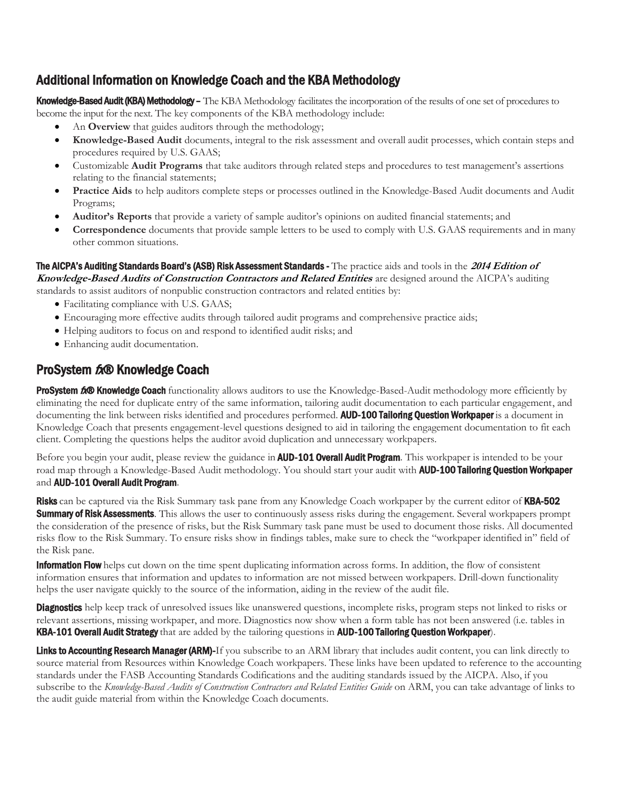# <span id="page-3-0"></span>Additional Information on Knowledge Coach and the KBA Methodology

Knowledge-Based Audit (KBA) Methodology – The KBA Methodology facilitates the incorporation of the results of one set of procedures to become the input for the next. The key components of the KBA methodology include:

- An **Overview** that guides auditors through the methodology;
- **Knowledge-Based Audit** documents, integral to the risk assessment and overall audit processes, which contain steps and procedures required by U.S. GAAS;
- Customizable **Audit Programs** that take auditors through related steps and procedures to test management's assertions relating to the financial statements;
- **Practice Aids** to help auditors complete steps or processes outlined in the Knowledge-Based Audit documents and Audit Programs;
- **Auditor's Reports** that provide a variety of sample auditor's opinions on audited financial statements; and
- **Correspondence** documents that provide sample letters to be used to comply with U.S. GAAS requirements and in many other common situations.

The AICPA's Auditing Standards Board's (ASB) Risk Assessment Standards - The practice aids and tools in the **2014 Edition of Knowledge-Based Audits of Construction Contractors and Related Entities** are designed around the AICPA's auditing standards to assist auditors of nonpublic construction contractors and related entities by:

- Facilitating compliance with U.S. GAAS;
- Encouraging more effective audits through tailored audit programs and comprehensive practice aids;
- Helping auditors to focus on and respond to identified audit risks; and
- Enhancing audit documentation.

# ProSystem tx® Knowledge Coach

ProSystem 6® Knowledge Coach functionality allows auditors to use the Knowledge-Based-Audit methodology more efficiently by eliminating the need for duplicate entry of the same information, tailoring audit documentation to each particular engagement, and documenting the link between risks identified and procedures performed. AUD-100 Tailoring Question Workpaper is a document in Knowledge Coach that presents engagement-level questions designed to aid in tailoring the engagement documentation to fit each client. Completing the questions helps the auditor avoid duplication and unnecessary workpapers.

Before you begin your audit, please review the guidance in **AUD-101 Overall Audit Program**. This workpaper is intended to be your road map through a Knowledge-Based Audit methodology. You should start your audit with **AUD-100 Tailoring Question Workpaper** and **AUD-101 Overall Audit Program.** 

Risks can be captured via the Risk Summary task pane from any Knowledge Coach workpaper by the current editor of KBA-502 Summary of Risk Assessments. This allows the user to continuously assess risks during the engagement. Several workpapers prompt the consideration of the presence of risks, but the Risk Summary task pane must be used to document those risks. All documented risks flow to the Risk Summary. To ensure risks show in findings tables, make sure to check the "workpaper identified in" field of the Risk pane.

**Information Flow** helps cut down on the time spent duplicating information across forms. In addition, the flow of consistent information ensures that information and updates to information are not missed between workpapers. Drill-down functionality helps the user navigate quickly to the source of the information, aiding in the review of the audit file.

Diagnostics help keep track of unresolved issues like unanswered questions, incomplete risks, program steps not linked to risks or relevant assertions, missing workpaper, and more. Diagnostics now show when a form table has not been answered (i.e. tables in KBA-101 Overall Audit Strategy that are added by the tailoring questions in AUD-100 Tailoring Question Workpaper).

Links to Accounting Research Manager (ARM)-If you subscribe to an ARM library that includes audit content, you can link directly to source material from Resources within Knowledge Coach workpapers. These links have been updated to reference to the accounting standards under the FASB Accounting Standards Codifications and the auditing standards issued by the AICPA. Also, if you subscribe to the *Knowledge-Based Audits of Construction Contractors and Related Entities Guide* on ARM, you can take advantage of links to the audit guide material from within the Knowledge Coach documents.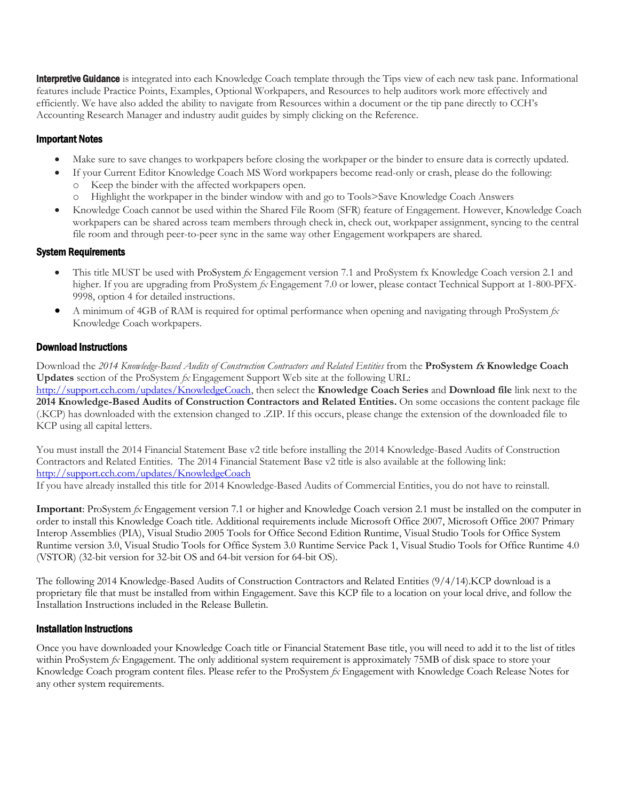**Interpretive Guidance** is integrated into each Knowledge Coach template through the Tips view of each new task pane. Informational features include Practice Points, Examples, Optional Workpapers, and Resources to help auditors work more effectively and efficiently. We have also added the ability to navigate from Resources within a document or the tip pane directly to CCH's Accounting Research Manager and industry audit guides by simply clicking on the Reference.

## Important Notes

- Make sure to save changes to workpapers before closing the workpaper or the binder to ensure data is correctly updated.
- If your Current Editor Knowledge Coach MS Word workpapers become read-only or crash, please do the following:
	- Keep the binder with the affected workpapers open.
	- o Highlight the workpaper in the binder window with and go to Tools>Save Knowledge Coach Answers
- Knowledge Coach cannot be used within the Shared File Room (SFR) feature of Engagement. However, Knowledge Coach workpapers can be shared across team members through check in, check out, workpaper assignment, syncing to the central file room and through peer-to-peer sync in the same way other Engagement workpapers are shared.

### System Requirements

- This title MUST be used with ProSystem *fx* Engagement version 7.1 and ProSystem fx Knowledge Coach version 2.1 and higher. If you are upgrading from ProSystem *fx* Engagement 7.0 or lower, please contact Technical Support at 1-800-PFX-9998, option 4 for detailed instructions.
- A minimum of 4GB of RAM is required for optimal performance when opening and navigating through ProSystem *fx*  Knowledge Coach workpapers.

### Download Instructions

Download the *2014 Knowledge-Based Audits of Construction Contractors and Related Entities* from the **ProSystem fx Knowledge Coach Updates** section of the ProSystem *fx* Engagement Support Web site at the following URL: [http://support.cch.com/updates/KnowledgeCoach,](http://support.cch.com/updates/KnowledgeCoach) then select the **Knowledge Coach Series** and **Download file** link next to the **2014 Knowledge-Based Audits of Construction Contractors and Related Entities.** On some occasions the content package file (.KCP) has downloaded with the extension changed to .ZIP. If this occurs, please change the extension of the downloaded file to KCP using all capital letters.

You must install the 2014 Financial Statement Base v2 title before installing the 2014 Knowledge-Based Audits of Construction Contractors and Related Entities. The 2014 Financial Statement Base v2 title is also available at the following link: <http://support.cch.com/updates/KnowledgeCoach>

If you have already installed this title for 2014 Knowledge-Based Audits of Commercial Entities, you do not have to reinstall.

**Important**: ProSystem *fx* Engagement version 7.1 or higher and Knowledge Coach version 2.1 must be installed on the computer in order to install this Knowledge Coach title. Additional requirements include Microsoft Office 2007, Microsoft Office 2007 Primary Interop Assemblies (PIA), Visual Studio 2005 Tools for Office Second Edition Runtime, Visual Studio Tools for Office System Runtime version 3.0, Visual Studio Tools for Office System 3.0 Runtime Service Pack 1, Visual Studio Tools for Office Runtime 4.0 (VSTOR) (32-bit version for 32-bit OS and 64-bit version for 64-bit OS).

The following 2014 Knowledge-Based Audits of Construction Contractors and Related Entities (9/4/14).KCP download is a proprietary file that must be installed from within Engagement. Save this KCP file to a location on your local drive, and follow the Installation Instructions included in the Release Bulletin.

### Installation Instructions

Once you have downloaded your Knowledge Coach title or Financial Statement Base title, you will need to add it to the list of titles within ProSystem *fx* Engagement. The only additional system requirement is approximately 75MB of disk space to store your Knowledge Coach program content files. Please refer to the ProSystem *fx* Engagement with Knowledge Coach Release Notes for any other system requirements.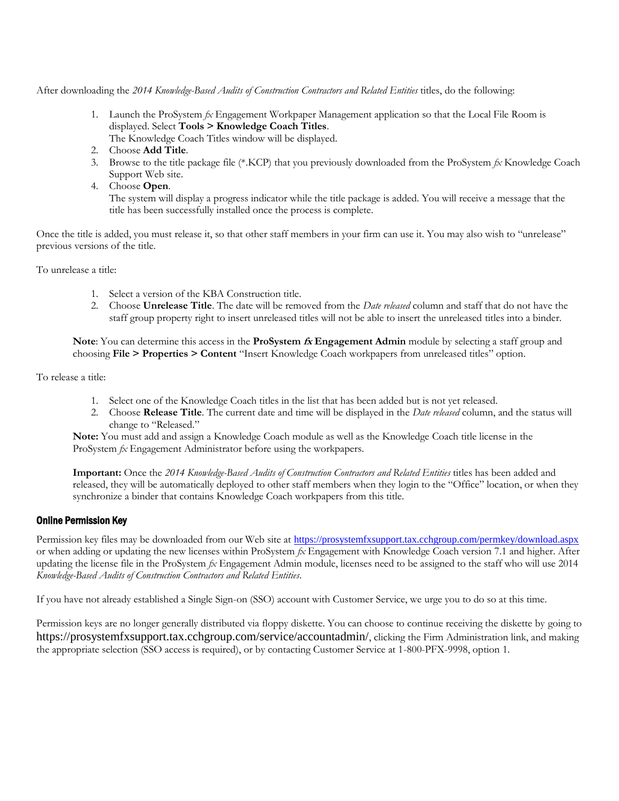After downloading the *2014 Knowledge-Based Audits of Construction Contractors and Related Entities* titles, do the following:

- 1. Launch the ProSystem *fx* Engagement Workpaper Management application so that the Local File Room is displayed. Select **Tools > Knowledge Coach Titles**. The Knowledge Coach Titles window will be displayed.
- 2. Choose **Add Title**.
- 3. Browse to the title package file (\*.KCP) that you previously downloaded from the ProSystem *fx* Knowledge Coach Support Web site.
- 4. Choose **Open**.

The system will display a progress indicator while the title package is added. You will receive a message that the title has been successfully installed once the process is complete.

Once the title is added, you must release it, so that other staff members in your firm can use it. You may also wish to "unrelease" previous versions of the title.

To unrelease a title:

- 1. Select a version of the KBA Construction title.
- 2. Choose **Unrelease Title**. The date will be removed from the *Date released* column and staff that do not have the staff group property right to insert unreleased titles will not be able to insert the unreleased titles into a binder.

**Note**: You can determine this access in the **ProSystem fx Engagement Admin** module by selecting a staff group and choosing **File > Properties > Content** "Insert Knowledge Coach workpapers from unreleased titles" option.

To release a title:

- 1. Select one of the Knowledge Coach titles in the list that has been added but is not yet released.
- 2. Choose **Release Title**. The current date and time will be displayed in the *Date released* column, and the status will change to "Released."

**Note:** You must add and assign a Knowledge Coach module as well as the Knowledge Coach title license in the ProSystem *fx* Engagement Administrator before using the workpapers.

**Important:** Once the *2014 Knowledge-Based Audits of Construction Contractors and Related Entities* titles has been added and released, they will be automatically deployed to other staff members when they login to the "Office" location, or when they synchronize a binder that contains Knowledge Coach workpapers from this title.

### Online Permission Key

Permission key files may be downloaded from our Web site at <https://prosystemfxsupport.tax.cchgroup.com/permkey/download.aspx> or when adding or updating the new licenses within ProSystem *fx* Engagement with Knowledge Coach version 7.1 and higher. After updating the license file in the ProSystem *fx* Engagement Admin module, licenses need to be assigned to the staff who will use 2014 *Knowledge-Based Audits of Construction Contractors and Related Entities*.

If you have not already established a Single Sign-on (SSO) account with Customer Service, we urge you to do so at this time.

Permission keys are no longer generally distributed via floppy diskette. You can choose to continue receiving the diskette by going to https://prosystemfxsupport.tax.cchgroup.com/service/accountadmin/, clicking the Firm Administration link, and making the appropriate selection (SSO access is required), or by contacting Customer Service at 1-800-PFX-9998, option 1.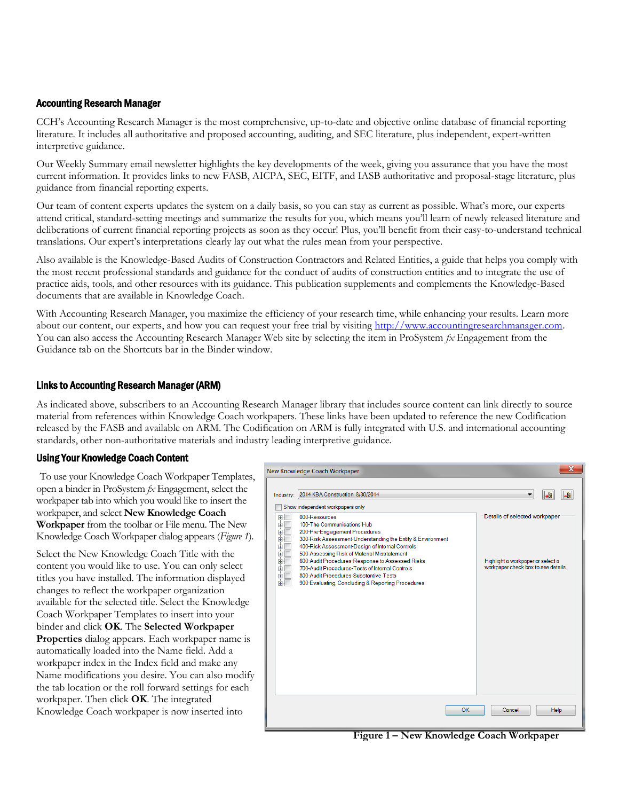## Accounting Research Manager

CCH's Accounting Research Manager is the most comprehensive, up-to-date and objective online database of financial reporting literature. It includes all authoritative and proposed accounting, auditing, and SEC literature, plus independent, expert-written interpretive guidance.

Our Weekly Summary email newsletter highlights the key developments of the week, giving you assurance that you have the most current information. It provides links to new FASB, AICPA, SEC, EITF, and IASB authoritative and proposal-stage literature, plus guidance from financial reporting experts.

Our team of content experts updates the system on a daily basis, so you can stay as current as possible. What's more, our experts attend critical, standard-setting meetings and summarize the results for you, which means you'll learn of newly released literature and deliberations of current financial reporting projects as soon as they occur! Plus, you'll benefit from their easy-to-understand technical translations. Our expert's interpretations clearly lay out what the rules mean from your perspective.

Also available is the Knowledge-Based Audits of Construction Contractors and Related Entities, a guide that helps you comply with the most recent professional standards and guidance for the conduct of audits of construction entities and to integrate the use of practice aids, tools, and other resources with its guidance. This publication supplements and complements the Knowledge-Based documents that are available in Knowledge Coach.

With Accounting Research Manager, you maximize the efficiency of your research time, while enhancing your results. Learn more about our content, our experts, and how you can request your free trial by visitin[g http://www.accountingresearchmanager.com.](http://www.accountingresearchmanager.com/)  You can also access the Accounting Research Manager Web site by selecting the item in ProSystem *fx* Engagement from the Guidance tab on the Shortcuts bar in the Binder window.

### Links to Accounting Research Manager (ARM)

As indicated above, subscribers to an Accounting Research Manager library that includes source content can link directly to source material from references within Knowledge Coach workpapers. These links have been updated to reference the new Codification released by the FASB and available on ARM. The Codification on ARM is fully integrated with U.S. and international accounting standards, other non-authoritative materials and industry leading interpretive guidance.

## Using Your Knowledge Coach Content

To use your Knowledge Coach Workpaper Templates, open a binder in ProSystem *fx* Engagement, select the workpaper tab into which you would like to insert the workpaper, and select **New Knowledge Coach Workpaper** from the toolbar or File menu. The New Knowledge Coach Workpaper dialog appears (*Figure 1*).

Select the New Knowledge Coach Title with the content you would like to use. You can only select titles you have installed. The information displayed changes to reflect the workpaper organization available for the selected title. Select the Knowledge Coach Workpaper Templates to insert into your binder and click **OK**. The **Selected Workpaper Properties** dialog appears. Each workpaper name is automatically loaded into the Name field. Add a workpaper index in the Index field and make any Name modifications you desire. You can also modify the tab location or the roll forward settings for each workpaper. Then click **OK**. The integrated Knowledge Coach workpaper is now inserted into



**Figure 1 – New Knowledge Coach Workpaper**